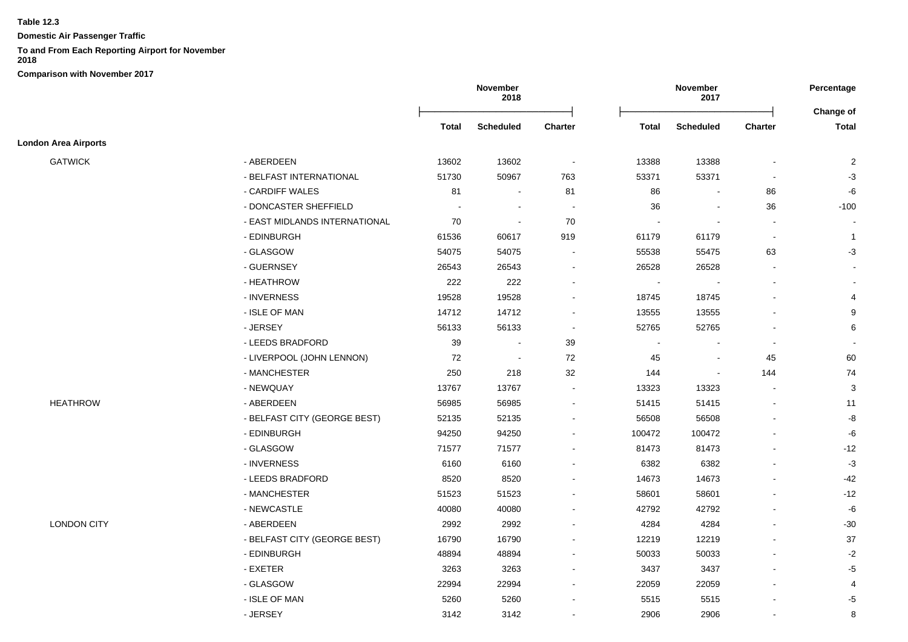**Domestic Air Passenger Traffic**

**To and From Each Reporting Airport for November** 

**2018 Comparison with November 2017**

**November 2018 November 2017 Percentage** Ōņņņņņņņņņņņņņņņņņņņņņņņņō Ōņņņņņņņņņņņņņņņņņņņņņņņņō **Change of Total Scheduled Charter Total Scheduled Charter Total London Area Airports** GATWICK - ABERDEEN 13602 13602 - 13388 13388 - 2 - BELFAST INTERNATIONAL 51730 50967 763 53371 53371 - -3 - CARDIFF WALES 81 - 81 86 - 86 -6 - DONCASTER SHEFFIELD - - - 36 - 36 -100 - EAST MIDLANDS INTERNATIONAL 70 - 70 - - - - - EDINBURGH 61536 60617 919 61179 61179 - 1 - GLASGOW 54075 54075 - 55538 55475 63 -3 - GUERNSEY 26543 26543 - 26528 26528 - -- HEATHROW 222 222 - - - - - - INVERNESS 19528 19528 - 18745 18745 - 4 - ISLE OF MAN 14712 14712 - 13555 13555 - 9 - JERSEY 56133 56133 - 52765 52765 - 6 - LEEDS BRADFORD 39 - 39 - - - - - LIVERPOOL (JOHN LENNON) 72 - 72 45 - 45 60 - MANCHESTER 250 218 32 144 - 144 74 - NEWQUAY 13767 13767 - 13323 13323 - 3 HEATHROW - ABERDEEN 56985 56985 - 51415 51415 - 11 - BELFAST CITY (GEORGE BEST) 52135 52135 52135 56508 56508 56508 56508 56508 56508 56508 - EDINBURGH 94250 94250 - 100472 100472 - -6 - GLASGOW 71577 71577 - 81473 81473 - -12 - INVERNESS 6160 6160 - 6382 6382 - -3 - LEEDS BRADFORD 8520 8520 - 14673 14673 - -42 - MANCHESTER 51523 51523 - 58601 58601 - -12 - NEWCASTLE 40080 40080 - 42792 42792 - -6 LONDON CITY - ABERDEEN 2992 2992 - 4284 4284 - -30 - BELFAST CITY (GEORGE BEST) 16790 16790 16790 12219 12219 12219 - 37 - EDINBURGH 48894 48894 - 50033 50033 - -2 - EXETER 3263 3263 - 3437 3437 - -5 - GLASGOW 22994 22994 - 22059 22059 - 4 - ISLE OF MAN 5260 5260 - 5515 5515 - -5 - JERSEY 3142 3142 - 2906 2906 - 8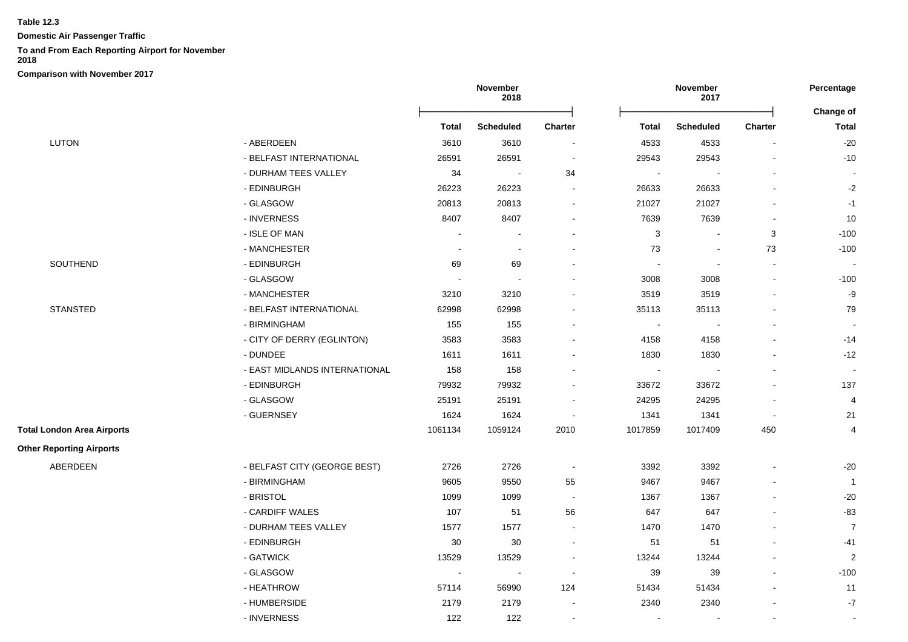**Domestic Air Passenger Traffic**

## **To and From Each Reporting Airport for November**

**2018**

|                                   |                               | November<br>2018 |                          |                | November<br>2017         |                          |                |                  |
|-----------------------------------|-------------------------------|------------------|--------------------------|----------------|--------------------------|--------------------------|----------------|------------------|
|                                   |                               |                  |                          |                |                          |                          |                | <b>Change of</b> |
|                                   |                               | <b>Total</b>     | <b>Scheduled</b>         | Charter        | <b>Total</b>             | <b>Scheduled</b>         | <b>Charter</b> | <b>Total</b>     |
| <b>LUTON</b>                      | - ABERDEEN                    | 3610             | 3610                     |                | 4533                     | 4533                     |                | $-20$            |
|                                   | - BELFAST INTERNATIONAL       | 26591            | 26591                    |                | 29543                    | 29543                    |                | $-10$            |
|                                   | - DURHAM TEES VALLEY          | 34               | $\overline{\phantom{a}}$ | 34             | $\overline{\phantom{a}}$ |                          |                | $\blacksquare$   |
|                                   | - EDINBURGH                   | 26223            | 26223                    | $\blacksquare$ | 26633                    | 26633                    |                | $-2$             |
|                                   | - GLASGOW                     | 20813            | 20813                    | $\sim$         | 21027                    | 21027                    |                | $-1$             |
|                                   | - INVERNESS                   | 8407             | 8407                     |                | 7639                     | 7639                     |                | 10               |
|                                   | - ISLE OF MAN                 | $\sim$           | $\overline{\phantom{a}}$ |                | $\mathbf{3}$             | $\sim$                   | 3              | $-100$           |
|                                   | - MANCHESTER                  | $\sim$           | $\sim$                   |                | 73                       | $\overline{\phantom{a}}$ | 73             | $-100$           |
| SOUTHEND                          | - EDINBURGH                   | 69               | 69                       |                | $\overline{\phantom{a}}$ | $\sim$                   |                |                  |
|                                   | - GLASGOW                     |                  |                          |                | 3008                     | 3008                     |                | $-100$           |
|                                   | - MANCHESTER                  | 3210             | 3210                     |                | 3519                     | 3519                     |                | $-9$             |
| <b>STANSTED</b>                   | - BELFAST INTERNATIONAL       | 62998            | 62998                    |                | 35113                    | 35113                    |                | 79               |
|                                   | - BIRMINGHAM                  | 155              | 155                      |                | $\sim$                   |                          |                | $\sim$           |
|                                   | - CITY OF DERRY (EGLINTON)    | 3583             | 3583                     |                | 4158                     | 4158                     |                | $-14$            |
|                                   | - DUNDEE                      | 1611             | 1611                     |                | 1830                     | 1830                     |                | $-12$            |
|                                   | - EAST MIDLANDS INTERNATIONAL | 158              | 158                      |                | $\overline{\phantom{a}}$ |                          |                | $\sim$           |
|                                   | - EDINBURGH                   | 79932            | 79932                    |                | 33672                    | 33672                    |                | 137              |
|                                   | - GLASGOW                     | 25191            | 25191                    | $\sim$         | 24295                    | 24295                    |                | $\overline{4}$   |
|                                   | - GUERNSEY                    | 1624             | 1624                     | $\blacksquare$ | 1341                     | 1341                     | $\blacksquare$ | 21               |
| <b>Total London Area Airports</b> |                               | 1061134          | 1059124                  | 2010           | 1017859                  | 1017409                  | 450            | $\overline{4}$   |
| <b>Other Reporting Airports</b>   |                               |                  |                          |                |                          |                          |                |                  |
| ABERDEEN                          | - BELFAST CITY (GEORGE BEST)  | 2726             | 2726                     | $\sim$         | 3392                     | 3392                     |                | $-20$            |
|                                   | - BIRMINGHAM                  | 9605             | 9550                     | 55             | 9467                     | 9467                     |                | $\mathbf{1}$     |
|                                   | - BRISTOL                     | 1099             | 1099                     | $\sim$         | 1367                     | 1367                     |                | $-20$            |
|                                   | - CARDIFF WALES               | 107              | 51                       | 56             | 647                      | 647                      |                | $-83$            |
|                                   | - DURHAM TEES VALLEY          | 1577             | 1577                     | $\sim$         | 1470                     | 1470                     |                | $\overline{7}$   |
|                                   | - EDINBURGH                   | 30               | $30\,$                   | $\sim$         | 51                       | 51                       |                | $-41$            |
|                                   | - GATWICK                     | 13529            | 13529                    |                | 13244                    | 13244                    |                | $\overline{c}$   |
|                                   | - GLASGOW                     | $\sim$           | $\blacksquare$           | $\sim$         | 39                       | 39                       |                | $-100$           |
|                                   | - HEATHROW                    | 57114            | 56990                    | 124            | 51434                    | 51434                    |                | 11               |
|                                   | - HUMBERSIDE                  | 2179             | 2179                     |                | 2340                     | 2340                     |                | $-7$             |
|                                   | - INVERNESS                   | 122              | 122                      |                |                          |                          |                | $\sim$           |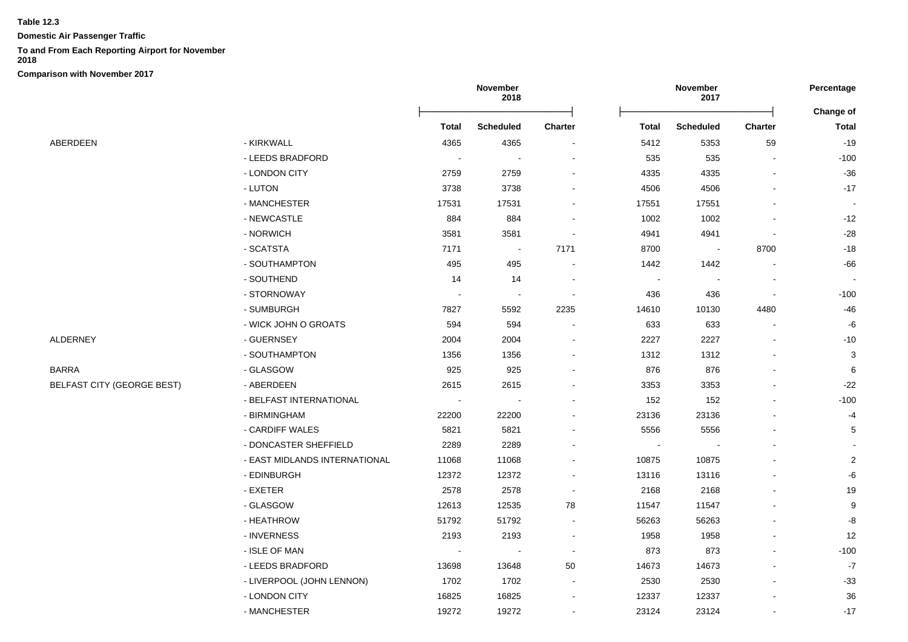**Domestic Air Passenger Traffic**

# **To and From Each Reporting Airport for November**

**2018**

|                                   |                               | November<br>2018 |                  |                |              | November<br>2017 |                | Percentage                |
|-----------------------------------|-------------------------------|------------------|------------------|----------------|--------------|------------------|----------------|---------------------------|
|                                   |                               | <b>Total</b>     | <b>Scheduled</b> | <b>Charter</b> | <b>Total</b> | <b>Scheduled</b> | <b>Charter</b> | Change of<br><b>Total</b> |
| ABERDEEN                          | - KIRKWALL                    | 4365             | 4365             |                | 5412         | 5353             | 59             | $-19$                     |
|                                   | - LEEDS BRADFORD              |                  |                  |                | 535          | 535              |                | $-100$                    |
|                                   | - LONDON CITY                 | 2759             | 2759             |                | 4335         | 4335             |                | $-36$                     |
|                                   | - LUTON                       | 3738             | 3738             |                | 4506         | 4506             |                | $-17$                     |
|                                   | - MANCHESTER                  | 17531            | 17531            |                | 17551        | 17551            |                | $\blacksquare$            |
|                                   | - NEWCASTLE                   | 884              | 884              |                | 1002         | 1002             |                | $-12$                     |
|                                   | - NORWICH                     | 3581             | 3581             |                | 4941         | 4941             |                | $-28$                     |
|                                   | - SCATSTA                     | 7171             | $\sim$           | 7171           | 8700         |                  | 8700           | $-18$                     |
|                                   | - SOUTHAMPTON                 | 495              | 495              |                | 1442         | 1442             |                | -66                       |
|                                   | - SOUTHEND                    | 14               | 14               |                |              |                  |                |                           |
|                                   | - STORNOWAY                   |                  |                  |                | 436          | 436              | $\blacksquare$ | $-100$                    |
|                                   | - SUMBURGH                    | 7827             | 5592             | 2235           | 14610        | 10130            | 4480           | -46                       |
|                                   | - WICK JOHN O GROATS          | 594              | 594              |                | 633          | 633              |                | -6                        |
| ALDERNEY                          | - GUERNSEY                    | 2004             | 2004             |                | 2227         | 2227             |                | $-10$                     |
|                                   | - SOUTHAMPTON                 | 1356             | 1356             |                | 1312         | 1312             |                | 3                         |
| BARRA                             | - GLASGOW                     | 925              | 925              |                | 876          | 876              | $\blacksquare$ | 6                         |
| <b>BELFAST CITY (GEORGE BEST)</b> | - ABERDEEN                    | 2615             | 2615             |                | 3353         | 3353             |                | $-22$                     |
|                                   | - BELFAST INTERNATIONAL       |                  |                  |                | 152          | 152              |                | $-100$                    |
|                                   | - BIRMINGHAM                  | 22200            | 22200            |                | 23136        | 23136            |                | $-4$                      |
|                                   | - CARDIFF WALES               | 5821             | 5821             |                | 5556         | 5556             |                | 5                         |
|                                   | - DONCASTER SHEFFIELD         | 2289             | 2289             |                |              |                  |                |                           |
|                                   | - EAST MIDLANDS INTERNATIONAL | 11068            | 11068            |                | 10875        | 10875            |                | $\sqrt{2}$                |
|                                   | - EDINBURGH                   | 12372            | 12372            |                | 13116        | 13116            |                | -6                        |
|                                   | - EXETER                      | 2578             | 2578             |                | 2168         | 2168             |                | $19$                      |
|                                   | - GLASGOW                     | 12613            | 12535            | 78             | 11547        | 11547            |                | 9                         |
|                                   | - HEATHROW                    | 51792            | 51792            |                | 56263        | 56263            |                | -8                        |
|                                   | - INVERNESS                   | 2193             | 2193             |                | 1958         | 1958             |                | 12                        |
|                                   | - ISLE OF MAN                 | $\sim$           |                  | $\sim$         | 873          | 873              |                | $-100$                    |
|                                   | - LEEDS BRADFORD              | 13698            | 13648            | 50             | 14673        | 14673            |                | $-7$                      |
|                                   | - LIVERPOOL (JOHN LENNON)     | 1702             | 1702             |                | 2530         | 2530             |                | $-33$                     |
|                                   | - LONDON CITY                 | 16825            | 16825            |                | 12337        | 12337            |                | 36                        |
|                                   | - MANCHESTER                  | 19272            | 19272            |                | 23124        | 23124            |                | $-17$                     |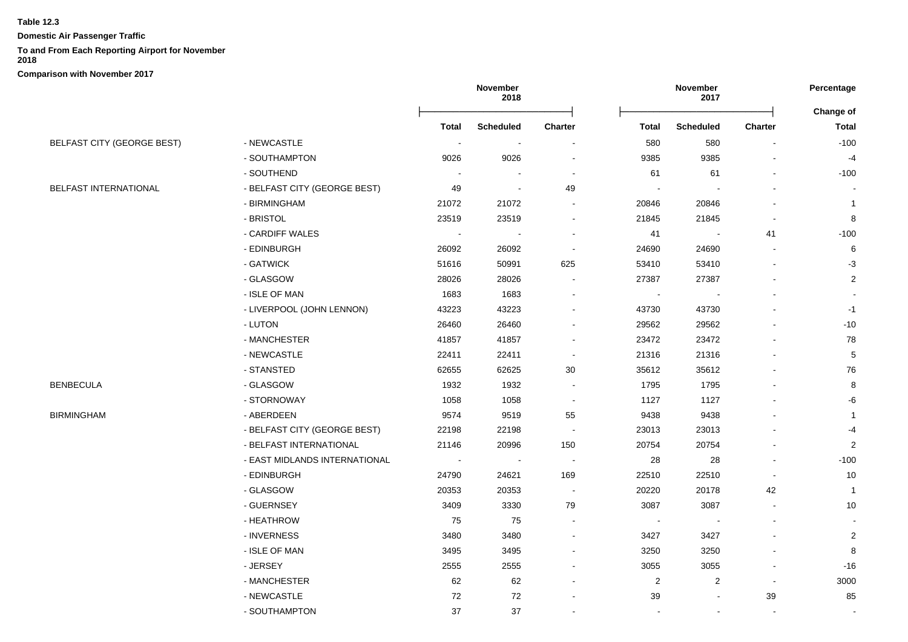**Domestic Air Passenger Traffic**

#### **To and From Each Reporting Airport for November**

**2018**

|                                   |                               | November<br>2018 |                  |                          |              | November<br>2017 |         | Percentage                       |
|-----------------------------------|-------------------------------|------------------|------------------|--------------------------|--------------|------------------|---------|----------------------------------|
|                                   |                               | <b>Total</b>     | <b>Scheduled</b> | Charter                  | <b>Total</b> | <b>Scheduled</b> | Charter | <b>Change of</b><br><b>Total</b> |
| <b>BELFAST CITY (GEORGE BEST)</b> | - NEWCASTLE                   | $\blacksquare$   |                  |                          | 580          | 580              |         | $-100$                           |
|                                   | - SOUTHAMPTON                 | 9026             | 9026             |                          | 9385         | 9385             |         | $-4$                             |
|                                   | - SOUTHEND                    |                  |                  | $\overline{\phantom{a}}$ | 61           | 61               |         | $-100$                           |
| <b>BELFAST INTERNATIONAL</b>      | - BELFAST CITY (GEORGE BEST)  | 49               |                  | 49                       |              |                  |         |                                  |
|                                   | - BIRMINGHAM                  | 21072            | 21072            |                          | 20846        | 20846            |         | $\mathbf{1}$                     |
|                                   | - BRISTOL                     | 23519            | 23519            |                          | 21845        | 21845            |         | 8                                |
|                                   | - CARDIFF WALES               | $\sim$           | $\sim$           |                          | 41           | $\sim$           | 41      | $-100$                           |
|                                   | - EDINBURGH                   | 26092            | 26092            | $\overline{\phantom{a}}$ | 24690        | 24690            |         | 6                                |
|                                   | - GATWICK                     | 51616            | 50991            | 625                      | 53410        | 53410            |         | $-3$                             |
|                                   | - GLASGOW                     | 28026            | 28026            |                          | 27387        | 27387            |         | $\overline{c}$                   |
|                                   | - ISLE OF MAN                 | 1683             | 1683             | $\overline{a}$           |              |                  |         |                                  |
|                                   | - LIVERPOOL (JOHN LENNON)     | 43223            | 43223            | $\blacksquare$           | 43730        | 43730            |         | $-1$                             |
|                                   | - LUTON                       | 26460            | 26460            |                          | 29562        | 29562            |         | $-10$                            |
|                                   | - MANCHESTER                  | 41857            | 41857            |                          | 23472        | 23472            |         | 78                               |
|                                   | - NEWCASTLE                   | 22411            | 22411            | $\overline{\phantom{a}}$ | 21316        | 21316            |         | $\mathbf 5$                      |
|                                   | - STANSTED                    | 62655            | 62625            | 30                       | 35612        | 35612            |         | 76                               |
| BENBECULA                         | - GLASGOW                     | 1932             | 1932             |                          | 1795         | 1795             |         | 8                                |
|                                   | - STORNOWAY                   | 1058             | 1058             | $\overline{\phantom{a}}$ | 1127         | 1127             |         | -6                               |
| <b>BIRMINGHAM</b>                 | - ABERDEEN                    | 9574             | 9519             | 55                       | 9438         | 9438             |         | $\mathbf{1}$                     |
|                                   | - BELFAST CITY (GEORGE BEST)  | 22198            | 22198            | $\overline{\phantom{a}}$ | 23013        | 23013            |         | $-4$                             |
|                                   | - BELFAST INTERNATIONAL       | 21146            | 20996            | 150                      | 20754        | 20754            |         | $\boldsymbol{2}$                 |
|                                   | - EAST MIDLANDS INTERNATIONAL | $\blacksquare$   | $\blacksquare$   | $\overline{\phantom{a}}$ | 28           | 28               |         | $-100$                           |
|                                   | - EDINBURGH                   | 24790            | 24621            | 169                      | 22510        | 22510            |         | $10$                             |
|                                   | - GLASGOW                     | 20353            | 20353            | <b>.</b>                 | 20220        | 20178            | 42      | $\overline{1}$                   |
|                                   | - GUERNSEY                    | 3409             | 3330             | 79                       | 3087         | 3087             |         | $10$                             |
|                                   | - HEATHROW                    | 75               | 75               |                          |              |                  |         |                                  |
|                                   | - INVERNESS                   | 3480             | 3480             | $\blacksquare$           | 3427         | 3427             |         | $\overline{2}$                   |
|                                   | - ISLE OF MAN                 | 3495             | 3495             | $\blacksquare$           | 3250         | 3250             |         | 8                                |
|                                   | - JERSEY                      | 2555             | 2555             |                          | 3055         | 3055             |         | $-16$                            |
|                                   | - MANCHESTER                  | 62               | 62               |                          | 2            | $\overline{c}$   |         | 3000                             |
|                                   | - NEWCASTLE                   | 72               | 72               |                          | 39           |                  | 39      | 85                               |
|                                   | - SOUTHAMPTON                 | 37               | 37               |                          |              | $\blacksquare$   |         |                                  |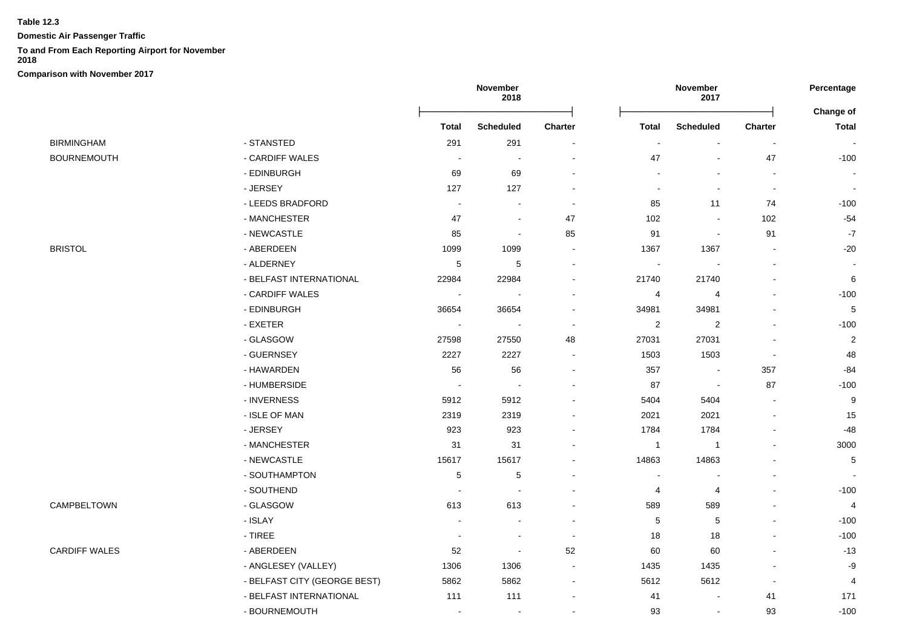**Domestic Air Passenger Traffic**

## **To and From Each Reporting Airport for November**

**2018**

|                      |                              | November<br>2018         |                          |                          |                          | November<br>2017         |                          | Percentage<br>Change of |
|----------------------|------------------------------|--------------------------|--------------------------|--------------------------|--------------------------|--------------------------|--------------------------|-------------------------|
|                      |                              | <b>Total</b>             | <b>Scheduled</b>         | <b>Charter</b>           | <b>Total</b>             | <b>Scheduled</b>         | Charter                  | <b>Total</b>            |
| <b>BIRMINGHAM</b>    | - STANSTED                   | 291                      | 291                      |                          |                          |                          | $\overline{\phantom{a}}$ |                         |
| <b>BOURNEMOUTH</b>   | - CARDIFF WALES              |                          |                          |                          | 47                       |                          | 47                       | $-100$                  |
|                      | - EDINBURGH                  | 69                       | 69                       |                          |                          |                          | $\blacksquare$           |                         |
|                      | - JERSEY                     | 127                      | 127                      |                          | $\overline{\phantom{a}}$ | $\blacksquare$           | $\blacksquare$           |                         |
|                      | - LEEDS BRADFORD             | $\sim$                   | $\overline{\phantom{a}}$ | $\blacksquare$           | 85                       | 11                       | 74                       | $-100$                  |
|                      | - MANCHESTER                 | 47                       |                          | 47                       | 102                      | $\blacksquare$           | 102                      | $-54$                   |
|                      | - NEWCASTLE                  | 85                       | $\blacksquare$           | 85                       | 91                       | $\blacksquare$           | 91                       | $-7$                    |
| <b>BRISTOL</b>       | - ABERDEEN                   | 1099                     | 1099                     |                          | 1367                     | 1367                     |                          | $-20$                   |
|                      | - ALDERNEY                   | 5                        | 5                        |                          |                          |                          |                          |                         |
|                      | - BELFAST INTERNATIONAL      | 22984                    | 22984                    |                          | 21740                    | 21740                    |                          | 6                       |
|                      | - CARDIFF WALES              |                          |                          |                          | 4                        | $\overline{4}$           |                          | $-100$                  |
|                      | - EDINBURGH                  | 36654                    | 36654                    |                          | 34981                    | 34981                    |                          | $\,$ 5 $\,$             |
|                      | - EXETER                     | $\blacksquare$           |                          |                          | $\overline{2}$           | $\overline{\mathbf{c}}$  |                          | $-100$                  |
|                      | - GLASGOW                    | 27598                    | 27550                    | 48                       | 27031                    | 27031                    | $\blacksquare$           | $\overline{\mathbf{c}}$ |
|                      | - GUERNSEY                   | 2227                     | 2227                     |                          | 1503                     | 1503                     | $\blacksquare$           | 48                      |
|                      | - HAWARDEN                   | 56                       | 56                       |                          | 357                      | $\overline{\phantom{a}}$ | 357                      | $-84$                   |
|                      | - HUMBERSIDE                 |                          |                          |                          | 87                       | $\overline{\phantom{a}}$ | 87                       | $-100$                  |
|                      | - INVERNESS                  | 5912                     | 5912                     |                          | 5404                     | 5404                     |                          | 9                       |
|                      | - ISLE OF MAN                | 2319                     | 2319                     |                          | 2021                     | 2021                     | $\overline{\phantom{a}}$ | 15                      |
|                      | - JERSEY                     | 923                      | 923                      |                          | 1784                     | 1784                     |                          | $-48$                   |
|                      | - MANCHESTER                 | 31                       | 31                       |                          | $\mathbf{1}$             | $\mathbf{1}$             |                          | 3000                    |
|                      | - NEWCASTLE                  | 15617                    | 15617                    |                          | 14863                    | 14863                    |                          | 5                       |
|                      | - SOUTHAMPTON                | $\mathbf 5$              | $\mathbf 5$              |                          | $\overline{a}$           | $\overline{a}$           |                          |                         |
|                      | - SOUTHEND                   | $\overline{a}$           | ÷                        |                          | 4                        | 4                        |                          | $-100$                  |
| CAMPBELTOWN          | - GLASGOW                    | 613                      | 613                      |                          | 589                      | 589                      |                          | $\overline{4}$          |
|                      | - ISLAY                      |                          |                          |                          | 5                        | 5                        |                          | $-100$                  |
|                      | $-$ TIREE                    | $\blacksquare$           |                          | $\sim$                   | 18                       | 18                       |                          | $-100$                  |
| <b>CARDIFF WALES</b> | - ABERDEEN                   | 52                       | $\overline{a}$           | 52                       | 60                       | 60                       |                          | $-13$                   |
|                      | - ANGLESEY (VALLEY)          | 1306                     | 1306                     |                          | 1435                     | 1435                     |                          | $\textnormal{-}9$       |
|                      | - BELFAST CITY (GEORGE BEST) | 5862                     | 5862                     | $\overline{\phantom{a}}$ | 5612                     | 5612                     | $\overline{\phantom{a}}$ | 4                       |
|                      | - BELFAST INTERNATIONAL      | 111                      | 111                      |                          | 41                       | $\blacksquare$           | 41                       | 171                     |
|                      | - BOURNEMOUTH                | $\overline{\phantom{a}}$ | $\overline{\phantom{a}}$ |                          | 93                       | $\overline{\phantom{a}}$ | 93                       | $-100$                  |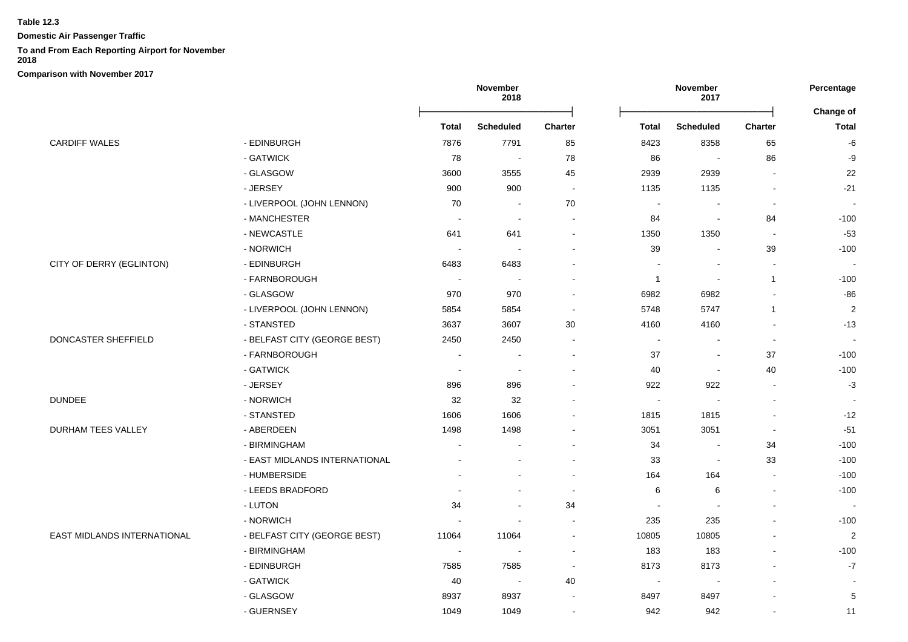**Domestic Air Passenger Traffic**

## **To and From Each Reporting Airport for November**

**2018**

|                             |                               |                          | November<br>2018         |                          | November<br>2017 |                          | Percentage     |                           |
|-----------------------------|-------------------------------|--------------------------|--------------------------|--------------------------|------------------|--------------------------|----------------|---------------------------|
|                             |                               | Total                    | <b>Scheduled</b>         | <b>Charter</b>           | Total            | <b>Scheduled</b>         | <b>Charter</b> | Change of<br><b>Total</b> |
| <b>CARDIFF WALES</b>        | - EDINBURGH                   | 7876                     | 7791                     | 85                       | 8423             | 8358                     | 65             | $\mbox{-}6$               |
|                             | - GATWICK                     | 78                       | $\sim$                   | 78                       | 86               |                          | 86             | -9                        |
|                             | - GLASGOW                     | 3600                     | 3555                     | 45                       | 2939             | 2939                     |                | 22                        |
|                             | - JERSEY                      | 900                      | 900                      | $\sim$                   | 1135             | 1135                     |                | $-21$                     |
|                             | - LIVERPOOL (JOHN LENNON)     | 70                       |                          | 70                       | $\blacksquare$   |                          | $\blacksquare$ | $\sim$                    |
|                             | - MANCHESTER                  | $\sim$                   | $\sim$                   | $\sim$                   | 84               |                          | 84             | $-100$                    |
|                             | - NEWCASTLE                   | 641                      | 641                      | $\blacksquare$           | 1350             | 1350                     |                | $-53$                     |
|                             | - NORWICH                     |                          |                          | $\blacksquare$           | 39               |                          | 39             | $-100$                    |
| CITY OF DERRY (EGLINTON)    | - EDINBURGH                   | 6483                     | 6483                     |                          | $\blacksquare$   |                          |                |                           |
|                             | - FARNBOROUGH                 |                          |                          | $\blacksquare$           | $\overline{1}$   |                          | $\mathbf{1}$   | $-100$                    |
|                             | - GLASGOW                     | 970                      | 970                      | $\blacksquare$           | 6982             | 6982                     |                | $-86$                     |
|                             | - LIVERPOOL (JOHN LENNON)     | 5854                     | 5854                     | $\blacksquare$           | 5748             | 5747                     | $\mathbf{1}$   | $\sqrt{2}$                |
|                             | - STANSTED                    | 3637                     | 3607                     | 30                       | 4160             | 4160                     |                | $-13$                     |
| DONCASTER SHEFFIELD         | - BELFAST CITY (GEORGE BEST)  | 2450                     | 2450                     | $\sim$                   | $\sim$           | $\blacksquare$           | $\overline{a}$ | $\sim$                    |
|                             | - FARNBOROUGH                 |                          |                          | $\sim$                   | 37               | $\blacksquare$           | 37             | $-100$                    |
|                             | - GATWICK                     |                          | $\blacksquare$           | $\blacksquare$           | 40               | $\overline{\phantom{a}}$ | 40             | $-100$                    |
|                             | - JERSEY                      | 896                      | 896                      | ÷,                       | 922              | 922                      | $\blacksquare$ | $-3$                      |
| <b>DUNDEE</b>               | - NORWICH                     | 32                       | 32                       | $\blacksquare$           | $\blacksquare$   |                          | $\blacksquare$ | $\sim$                    |
|                             | - STANSTED                    | 1606                     | 1606                     |                          | 1815             | 1815                     |                | $-12$                     |
| DURHAM TEES VALLEY          | - ABERDEEN                    | 1498                     | 1498                     |                          | 3051             | 3051                     | $\blacksquare$ | $-51$                     |
|                             | - BIRMINGHAM                  | $\blacksquare$           |                          | $\blacksquare$           | 34               | $\overline{\phantom{a}}$ | 34             | $-100$                    |
|                             | - EAST MIDLANDS INTERNATIONAL |                          |                          | $\overline{\phantom{a}}$ | 33               | $\overline{\phantom{a}}$ | 33             | $-100$                    |
|                             | - HUMBERSIDE                  |                          |                          | $\overline{a}$           | 164              | 164                      |                | $-100$                    |
|                             | - LEEDS BRADFORD              |                          |                          | $\overline{\phantom{a}}$ | 6                | 6                        |                | $-100$                    |
|                             | - LUTON                       | 34                       |                          | 34                       | $\sim$           |                          |                |                           |
|                             | - NORWICH                     |                          |                          | $\sim$                   | 235              | 235                      |                | $-100$                    |
| EAST MIDLANDS INTERNATIONAL | - BELFAST CITY (GEORGE BEST)  | 11064                    | 11064                    | $\blacksquare$           | 10805            | 10805                    |                | $\overline{2}$            |
|                             | - BIRMINGHAM                  | $\overline{\phantom{a}}$ |                          | $\sim$                   | 183              | 183                      |                | $-100$                    |
|                             | - EDINBURGH                   | 7585                     | 7585                     | $\sim$                   | 8173             | 8173                     |                | $-7$                      |
|                             | - GATWICK                     | 40                       | $\overline{\phantom{a}}$ | 40                       | $\sim$           |                          |                |                           |
|                             | - GLASGOW                     | 8937                     | 8937                     |                          | 8497             | 8497                     |                | 5                         |
|                             | - GUERNSEY                    | 1049                     | 1049                     | $\sim$                   | 942              | 942                      |                | 11                        |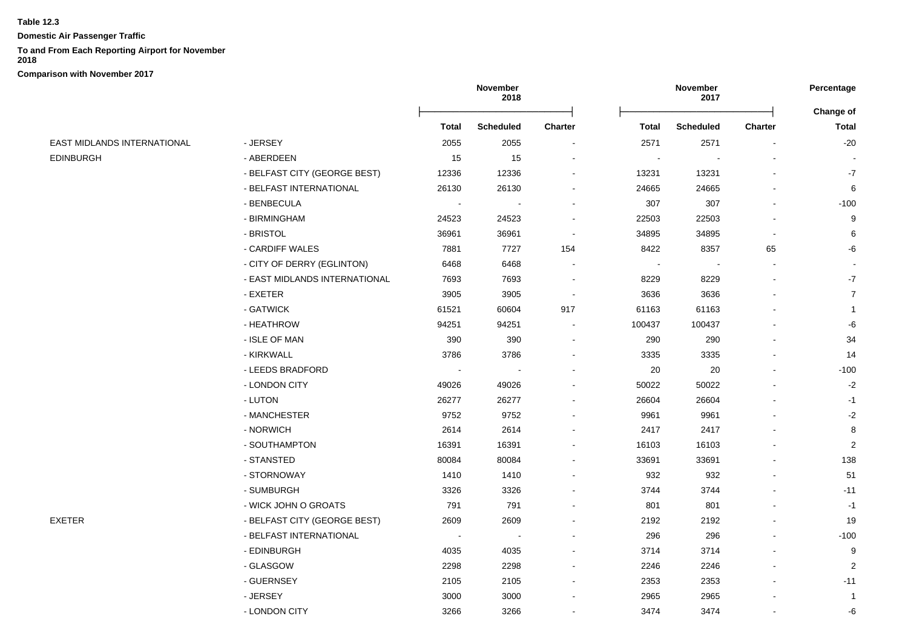**Domestic Air Passenger Traffic**

## **To and From Each Reporting Airport for November**

**2018**

**Comparison with November 2017**

# **November 2018 November 2017 Percentage** Ōņņņņņņņņņņņņņņņņņņņņņņņņō Ōņņņņņņņņņņņņņņņņņņņņņņņņō **Change of Total Scheduled Charter Total Scheduled Charter Total** EAST MIDLANDS INTERNATIONAL - JERSEY 2055 2055 - 2571 2571 - -20 EDINBURGH - ABERDEEN 15 15 - - - - - - BELFAST CITY (GEORGE BEST) 12336 12336 - 13231 13231 - -7 - BELFAST INTERNATIONAL 26130 26130 - 24665 24665 - 6 - BENBECULA - - - - - - - - - - - - - - - 307 - - - - - - - - 100 - BIRMINGHAM 24523 24523 - 22503 22503 - 9 - BRISTOL 36961 36961 - 34895 34895 - 6 - CARDIFF WALES 7881 7727 154 8422 8357 65 -6 - CITY OF DERRY (EGLINTON) 6468 6468 - - - - - - EAST MIDLANDS INTERNATIONAL 7693 7693 7693 - 8229 8229 8229 - - 7 - EXETER 3905 3905 - 3636 3636 - 7 - GATWICK 61521 60604 917 61163 61163 - 1 - HEATHROW 94251 94251 - 100437 100437 - -6 - ISLE OF MAN 390 390 - 290 290 - 34 - KIRKWALL 3786 3786 - 3335 3335 - 14 - LEEDS BRADFORD - - - - - - - - - - 20 20 - - - 100 - LONDON CITY 49026 49026 - 50022 50022 - -2 - LUTON 26277 26277 - 26604 26604 - -1 - MANCHESTER 9752 9752 - 9961 9961 - -2 - NORWICH 2614 2614 - 2417 2417 - 8 - SOUTHAMPTON 16391 16391 - 16103 16103 - 2 - STANSTED 80084 80084 - 33691 33691 - 138 - STORNOWAY 1410 1410 - 932 932 - 51 - SUMBURGH 3326 3326 - 3744 3744 - -11 - WICK JOHN O GROATS 791 791 - 801 801 - -1 EXETER - BELFAST CITY (GEORGE BEST) 2609 2609 - 2192 2192 - 19 - BELFAST INTERNATIONAL - - - 296 296 - -100 - EDINBURGH 4035 4035 - 3714 3714 - 9 - GLASGOW 2298 2298 - 2246 2246 - 2 - GUERNSEY 2105 2105 - 2353 2353 - -11 - JERSEY 3000 3000 - 2965 2965 - 1 - LONDON CITY 3266 3266 - 3474 3474 - -6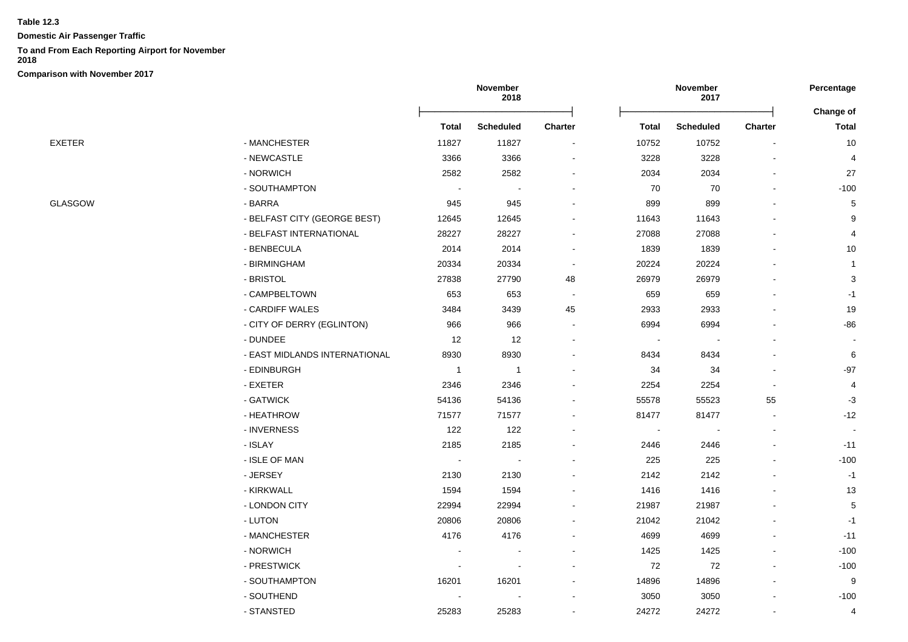**Domestic Air Passenger Traffic**

# **To and From Each Reporting Airport for November**

**2018**

|                |                               | November<br>2018 |                  |                |        | November<br>2017 |                          |                           |
|----------------|-------------------------------|------------------|------------------|----------------|--------|------------------|--------------------------|---------------------------|
|                |                               | <b>Total</b>     | <b>Scheduled</b> | Charter        | Total  | <b>Scheduled</b> | Charter                  | Change of<br><b>Total</b> |
| EXETER         | - MANCHESTER                  | 11827            | 11827            |                | 10752  | 10752            |                          | 10                        |
|                | - NEWCASTLE                   | 3366             | 3366             |                | 3228   | 3228             |                          | $\overline{4}$            |
|                | - NORWICH                     | 2582             | 2582             |                | 2034   | 2034             |                          | 27                        |
|                | - SOUTHAMPTON                 | $\sim$           |                  |                | 70     | 70               | $\blacksquare$           | $-100$                    |
| <b>GLASGOW</b> | - BARRA                       | 945              | 945              |                | 899    | 899              |                          | $\,$ 5 $\,$               |
|                | - BELFAST CITY (GEORGE BEST)  | 12645            | 12645            |                | 11643  | 11643            |                          | 9                         |
|                | - BELFAST INTERNATIONAL       | 28227            | 28227            |                | 27088  | 27088            |                          | $\overline{4}$            |
|                | - BENBECULA                   | 2014             | 2014             |                | 1839   | 1839             |                          | $10$                      |
|                | - BIRMINGHAM                  | 20334            | 20334            | $\blacksquare$ | 20224  | 20224            |                          | $\overline{1}$            |
|                | - BRISTOL                     | 27838            | 27790            | 48             | 26979  | 26979            |                          | 3                         |
|                | - CAMPBELTOWN                 | 653              | 653              |                | 659    | 659              |                          | $-1$                      |
|                | - CARDIFF WALES               | 3484             | 3439             | 45             | 2933   | 2933             |                          | 19                        |
|                | - CITY OF DERRY (EGLINTON)    | 966              | 966              | $\blacksquare$ | 6994   | 6994             |                          | $-86$                     |
|                | - DUNDEE                      | 12               | 12               |                | $\sim$ | $\blacksquare$   |                          |                           |
|                | - EAST MIDLANDS INTERNATIONAL | 8930             | 8930             |                | 8434   | 8434             |                          | $\,6\,$                   |
|                | - EDINBURGH                   | $\overline{1}$   | $\mathbf{1}$     |                | 34     | 34               |                          | $-97$                     |
|                | - EXETER                      | 2346             | 2346             |                | 2254   | 2254             | $\overline{\phantom{a}}$ | 4                         |
|                | - GATWICK                     | 54136            | 54136            |                | 55578  | 55523            | 55                       | $-3$                      |
|                | - HEATHROW                    | 71577            | 71577            |                | 81477  | 81477            | $\blacksquare$           | $-12$                     |
|                | - INVERNESS                   | 122              | 122              |                |        |                  |                          |                           |
|                | - ISLAY                       | 2185             | 2185             |                | 2446   | 2446             | $\blacksquare$           | $-11$                     |
|                | - ISLE OF MAN                 | $\sim$           | $\blacksquare$   |                | 225    | 225              |                          | $-100$                    |
|                | - JERSEY                      | 2130             | 2130             |                | 2142   | 2142             |                          | $-1$                      |
|                | - KIRKWALL                    | 1594             | 1594             |                | 1416   | 1416             |                          | 13                        |
|                | - LONDON CITY                 | 22994            | 22994            |                | 21987  | 21987            |                          | $\,$ 5 $\,$               |
|                | - LUTON                       | 20806            | 20806            |                | 21042  | 21042            |                          | $-1$                      |
|                | - MANCHESTER                  | 4176             | 4176             |                | 4699   | 4699             |                          | $-11$                     |
|                | - NORWICH                     |                  |                  |                | 1425   | 1425             | $\overline{a}$           | $-100$                    |
|                | - PRESTWICK                   |                  |                  |                | 72     | 72               | $\overline{a}$           | $-100$                    |
|                | - SOUTHAMPTON                 | 16201            | 16201            |                | 14896  | 14896            |                          | 9                         |
|                | - SOUTHEND                    |                  |                  |                | 3050   | 3050             |                          | $-100$                    |
|                | - STANSTED                    | 25283            | 25283            |                | 24272  | 24272            |                          | $\overline{4}$            |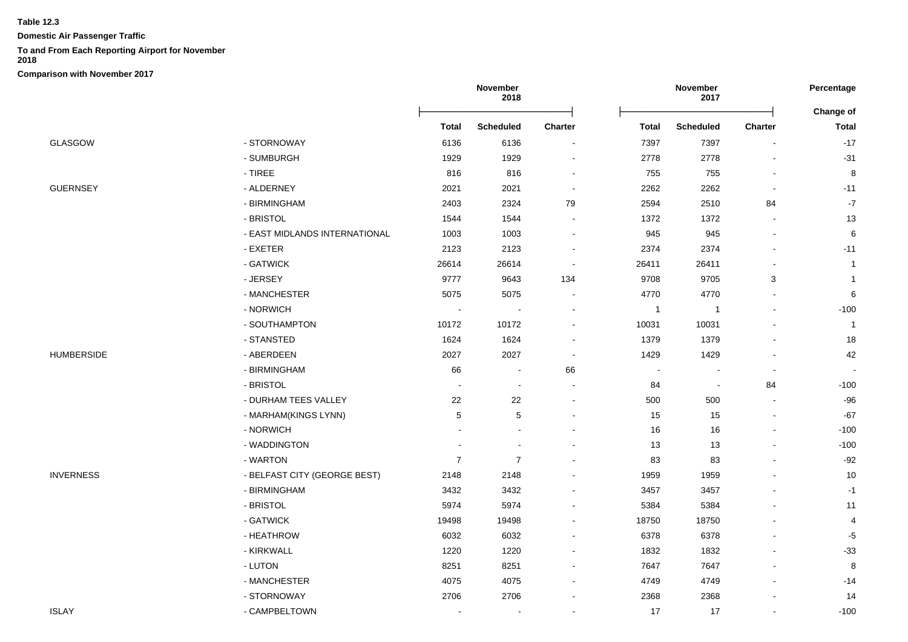**Domestic Air Passenger Traffic**

#### **To and From Each Reporting Airport for November**

**2018**

|                   |                               | November<br>2018 |                  |                          |                | November<br>2017         |         | Percentage                       |
|-------------------|-------------------------------|------------------|------------------|--------------------------|----------------|--------------------------|---------|----------------------------------|
|                   |                               | <b>Total</b>     | <b>Scheduled</b> | Charter                  | <b>Total</b>   | <b>Scheduled</b>         | Charter | <b>Change of</b><br><b>Total</b> |
| GLASGOW           | - STORNOWAY                   | 6136             | 6136             |                          | 7397           | 7397                     |         | $-17$                            |
|                   | - SUMBURGH                    | 1929             | 1929             |                          | 2778           | 2778                     |         | $-31$                            |
|                   | $-$ TIREE                     | 816              | 816              | $\overline{\phantom{a}}$ | 755            | 755                      |         | 8                                |
| GUERNSEY          | - ALDERNEY                    | 2021             | 2021             | $\overline{\phantom{a}}$ | 2262           | 2262                     |         | $-11$                            |
|                   | - BIRMINGHAM                  | 2403             | 2324             | 79                       | 2594           | 2510                     | 84      | $-7$                             |
|                   | - BRISTOL                     | 1544             | 1544             |                          | 1372           | 1372                     |         | 13                               |
|                   | - EAST MIDLANDS INTERNATIONAL | 1003             | 1003             |                          | 945            | 945                      |         | 6                                |
|                   | - EXETER                      | 2123             | 2123             |                          | 2374           | 2374                     |         | $-11$                            |
|                   | - GATWICK                     | 26614            | 26614            |                          | 26411          | 26411                    |         | $\mathbf{1}$                     |
|                   | - JERSEY                      | 9777             | 9643             | 134                      | 9708           | 9705                     | 3       | $\mathbf{1}$                     |
|                   | - MANCHESTER                  | 5075             | 5075             | $\overline{\phantom{a}}$ | 4770           | 4770                     |         | 6                                |
|                   | - NORWICH                     | $\overline{a}$   |                  | $\overline{\phantom{a}}$ | $\overline{1}$ | $\mathbf{1}$             |         | $-100$                           |
|                   | - SOUTHAMPTON                 | 10172            | 10172            | $\blacksquare$           | 10031          | 10031                    |         | $\overline{1}$                   |
|                   | - STANSTED                    | 1624             | 1624             | $\overline{\phantom{a}}$ | 1379           | 1379                     |         | 18                               |
| <b>HUMBERSIDE</b> | - ABERDEEN                    | 2027             | 2027             | $\overline{\phantom{a}}$ | 1429           | 1429                     |         | 42                               |
|                   | - BIRMINGHAM                  | 66               | $\blacksquare$   | 66                       | $\blacksquare$ | $\blacksquare$           |         | $\sim$                           |
|                   | - BRISTOL                     | $\overline{a}$   | $\blacksquare$   | $\overline{a}$           | 84             | $\overline{\phantom{a}}$ | 84      | $-100$                           |
|                   | - DURHAM TEES VALLEY          | 22               | 22               |                          | 500            | 500                      |         | $-96$                            |
|                   | - MARHAM(KINGS LYNN)          | 5                | 5                |                          | 15             | 15                       |         | $-67$                            |
|                   | - NORWICH                     |                  |                  |                          | 16             | 16                       |         | $-100$                           |
|                   | - WADDINGTON                  |                  |                  |                          | 13             | 13                       |         | $-100$                           |
|                   | - WARTON                      | $\overline{7}$   | $\overline{7}$   |                          | 83             | 83                       |         | $-92$                            |
| <b>INVERNESS</b>  | - BELFAST CITY (GEORGE BEST)  | 2148             | 2148             |                          | 1959           | 1959                     |         | 10                               |
|                   | - BIRMINGHAM                  | 3432             | 3432             |                          | 3457           | 3457                     |         | $-1$                             |
|                   | - BRISTOL                     | 5974             | 5974             |                          | 5384           | 5384                     |         | 11                               |
|                   | - GATWICK                     | 19498            | 19498            |                          | 18750          | 18750                    |         | 4                                |
|                   | - HEATHROW                    | 6032             | 6032             |                          | 6378           | 6378                     |         | $-5$                             |
|                   | - KIRKWALL                    | 1220             | 1220             |                          | 1832           | 1832                     |         | $-33$                            |
|                   | - LUTON                       | 8251             | 8251             | $\blacksquare$           | 7647           | 7647                     |         | 8                                |
|                   | - MANCHESTER                  | 4075             | 4075             | $\overline{\phantom{a}}$ | 4749           | 4749                     |         | $-14$                            |
|                   | - STORNOWAY                   | 2706             | 2706             |                          | 2368           | 2368                     |         | 14                               |
| ISLAY             | - CAMPBELTOWN                 | $\blacksquare$   | $\blacksquare$   |                          | 17             | 17                       |         | $-100$                           |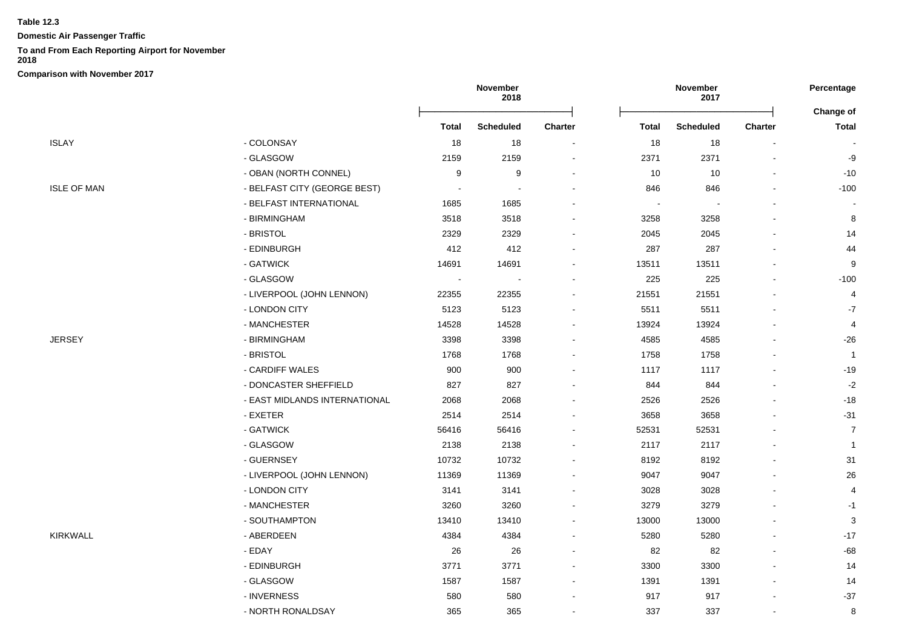**Domestic Air Passenger Traffic**

## **To and From Each Reporting Airport for November**

**2018**

|                    |                               | November<br>2018 |                  |                |                | November<br>2017 |         |                           |
|--------------------|-------------------------------|------------------|------------------|----------------|----------------|------------------|---------|---------------------------|
|                    |                               | <b>Total</b>     | <b>Scheduled</b> | <b>Charter</b> | <b>Total</b>   | <b>Scheduled</b> | Charter | Change of<br><b>Total</b> |
| ISLAY              | - COLONSAY                    | 18               | 18               |                | 18             | 18               |         |                           |
|                    | - GLASGOW                     | 2159             | 2159             |                | 2371           | 2371             |         | -9                        |
|                    | - OBAN (NORTH CONNEL)         | 9                | 9                |                | 10             | 10               |         | $-10$                     |
| <b>ISLE OF MAN</b> | - BELFAST CITY (GEORGE BEST)  |                  |                  |                | 846            | 846              |         | $-100$                    |
|                    | - BELFAST INTERNATIONAL       | 1685             | 1685             |                | $\blacksquare$ |                  |         |                           |
|                    | - BIRMINGHAM                  | 3518             | 3518             |                | 3258           | 3258             |         | 8                         |
|                    | - BRISTOL                     | 2329             | 2329             |                | 2045           | 2045             |         | 14                        |
|                    | - EDINBURGH                   | 412              | 412              |                | 287            | 287              |         | 44                        |
|                    | - GATWICK                     | 14691            | 14691            |                | 13511          | 13511            |         | 9                         |
|                    | - GLASGOW                     |                  |                  |                | 225            | 225              |         | $-100$                    |
|                    | - LIVERPOOL (JOHN LENNON)     | 22355            | 22355            |                | 21551          | 21551            |         | 4                         |
|                    | - LONDON CITY                 | 5123             | 5123             |                | 5511           | 5511             |         | $-7$                      |
|                    | - MANCHESTER                  | 14528            | 14528            |                | 13924          | 13924            |         | $\overline{4}$            |
| JERSEY             | - BIRMINGHAM                  | 3398             | 3398             |                | 4585           | 4585             |         | $-26$                     |
|                    | - BRISTOL                     | 1768             | 1768             |                | 1758           | 1758             |         | $\overline{1}$            |
|                    | - CARDIFF WALES               | 900              | 900              |                | 1117           | 1117             |         | $-19$                     |
|                    | - DONCASTER SHEFFIELD         | 827              | 827              |                | 844            | 844              |         | $-2$                      |
|                    | - EAST MIDLANDS INTERNATIONAL | 2068             | 2068             |                | 2526           | 2526             |         | $-18$                     |
|                    | - EXETER                      | 2514             | 2514             |                | 3658           | 3658             |         | $-31$                     |
|                    | - GATWICK                     | 56416            | 56416            |                | 52531          | 52531            |         | $\overline{7}$            |
|                    | - GLASGOW                     | 2138             | 2138             |                | 2117           | 2117             |         | $\overline{1}$            |
|                    | - GUERNSEY                    | 10732            | 10732            |                | 8192           | 8192             |         | 31                        |
|                    | - LIVERPOOL (JOHN LENNON)     | 11369            | 11369            |                | 9047           | 9047             |         | 26                        |
|                    | - LONDON CITY                 | 3141             | 3141             |                | 3028           | 3028             |         | 4                         |
|                    | - MANCHESTER                  | 3260             | 3260             |                | 3279           | 3279             |         | $-1$                      |
|                    | - SOUTHAMPTON                 | 13410            | 13410            |                | 13000          | 13000            |         | 3                         |
| KIRKWALL           | - ABERDEEN                    | 4384             | 4384             |                | 5280           | 5280             |         | $-17$                     |
|                    | - EDAY                        | 26               | 26               |                | 82             | 82               |         | $-68$                     |
|                    | - EDINBURGH                   | 3771             | 3771             |                | 3300           | 3300             |         | 14                        |
|                    | - GLASGOW                     | 1587             | 1587             |                | 1391           | 1391             |         | 14                        |
|                    | - INVERNESS                   | 580              | 580              |                | 917            | 917              |         | $-37$                     |
|                    | - NORTH RONALDSAY             | 365              | 365              |                | 337            | 337              |         | 8                         |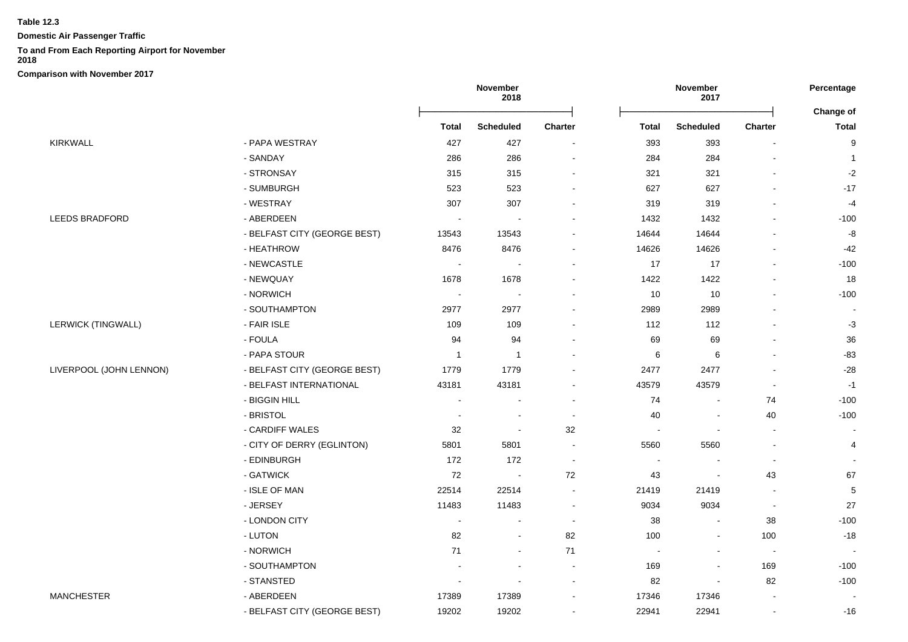**Domestic Air Passenger Traffic**

## **To and From Each Reporting Airport for November**

**2018**

|                           |                              | November<br>2018         |                          |         |                          | November<br>2017         |                          | Percentage<br>Change of |
|---------------------------|------------------------------|--------------------------|--------------------------|---------|--------------------------|--------------------------|--------------------------|-------------------------|
|                           |                              | <b>Total</b>             | <b>Scheduled</b>         | Charter | <b>Total</b>             | <b>Scheduled</b>         | Charter                  | <b>Total</b>            |
| KIRKWALL                  | - PAPA WESTRAY               | 427                      | 427                      |         | 393                      | 393                      |                          | 9                       |
|                           | - SANDAY                     | 286                      | 286                      |         | 284                      | 284                      |                          | -1                      |
|                           | - STRONSAY                   | 315                      | 315                      |         | 321                      | 321                      |                          | $-2$                    |
|                           | - SUMBURGH                   | 523                      | 523                      |         | 627                      | 627                      |                          | $-17$                   |
|                           | - WESTRAY                    | 307                      | 307                      |         | 319                      | 319                      |                          | $-4$                    |
| <b>LEEDS BRADFORD</b>     | - ABERDEEN                   | $\blacksquare$           | $\blacksquare$           |         | 1432                     | 1432                     |                          | $-100$                  |
|                           | - BELFAST CITY (GEORGE BEST) | 13543                    | 13543                    |         | 14644                    | 14644                    |                          | -8                      |
|                           | - HEATHROW                   | 8476                     | 8476                     |         | 14626                    | 14626                    |                          | $-42$                   |
|                           | - NEWCASTLE                  |                          |                          |         | 17                       | 17                       |                          | $-100$                  |
|                           | - NEWQUAY                    | 1678                     | 1678                     |         | 1422                     | 1422                     |                          | 18                      |
|                           | - NORWICH                    | $\sim$                   |                          |         | 10                       | 10                       |                          | $-100$                  |
|                           | - SOUTHAMPTON                | 2977                     | 2977                     |         | 2989                     | 2989                     |                          |                         |
| <b>LERWICK (TINGWALL)</b> | - FAIR ISLE                  | 109                      | 109                      |         | 112                      | 112                      |                          | $-3$                    |
|                           | - FOULA                      | 94                       | 94                       |         | 69                       | 69                       |                          | 36                      |
|                           | - PAPA STOUR                 | -1                       | -1                       |         | 6                        | 6                        |                          | $-83$                   |
| LIVERPOOL (JOHN LENNON)   | - BELFAST CITY (GEORGE BEST) | 1779                     | 1779                     |         | 2477                     | 2477                     |                          | $-28$                   |
|                           | - BELFAST INTERNATIONAL      | 43181                    | 43181                    |         | 43579                    | 43579                    |                          | $-1$                    |
|                           | - BIGGIN HILL                |                          |                          |         | 74                       |                          | 74                       | $-100$                  |
|                           | - BRISTOL                    | $\blacksquare$           |                          |         | 40                       |                          | 40                       | $-100$                  |
|                           | - CARDIFF WALES              | 32                       |                          | 32      | $\overline{\phantom{a}}$ |                          | $\blacksquare$           |                         |
|                           | - CITY OF DERRY (EGLINTON)   | 5801                     | 5801                     |         | 5560                     | 5560                     |                          | 4                       |
|                           | - EDINBURGH                  | 172                      | 172                      |         | $\overline{\phantom{a}}$ |                          | $\overline{\phantom{a}}$ |                         |
|                           | - GATWICK                    | 72                       | $\sim$                   | 72      | 43                       | $\overline{\phantom{a}}$ | 43                       | 67                      |
|                           | - ISLE OF MAN                | 22514                    | 22514                    |         | 21419                    | 21419                    | $\blacksquare$           | $\,$ 5 $\,$             |
|                           | - JERSEY                     | 11483                    | 11483                    |         | 9034                     | 9034                     |                          | 27                      |
|                           | - LONDON CITY                | $\overline{\phantom{a}}$ |                          |         | 38                       |                          | 38                       | $-100$                  |
|                           | - LUTON                      | 82                       | $\overline{\phantom{a}}$ | 82      | 100                      | $\overline{\phantom{a}}$ | 100                      | $-18$                   |
|                           | - NORWICH                    | 71                       |                          | 71      | $\overline{\phantom{a}}$ |                          | $\overline{\phantom{a}}$ |                         |
|                           | - SOUTHAMPTON                |                          |                          |         | 169                      |                          | 169                      | $-100$                  |
|                           | - STANSTED                   | $\overline{\phantom{a}}$ | $\blacksquare$           |         | 82                       | $\blacksquare$           | 82                       | $-100$                  |
| MANCHESTER                | - ABERDEEN                   | 17389                    | 17389                    |         | 17346                    | 17346                    |                          |                         |
|                           | - BELFAST CITY (GEORGE BEST) | 19202                    | 19202                    |         | 22941                    | 22941                    | $\mathbf{r}$             | $-16$                   |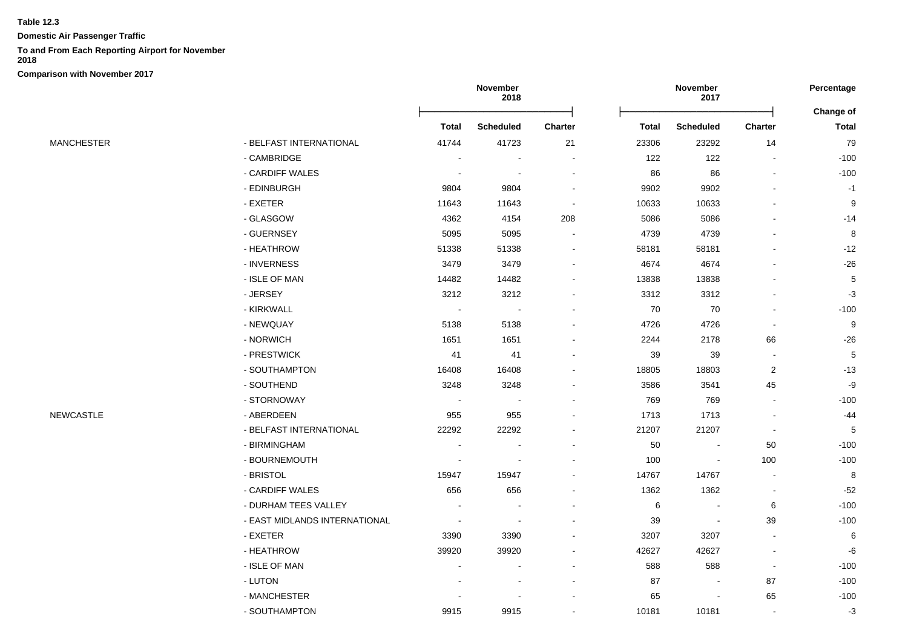**Domestic Air Passenger Traffic**

## **To and From Each Reporting Airport for November**

**2018**

|                   |                               | November<br>2018 |                          |                | November<br>2017 | Percentage               |                          |            |
|-------------------|-------------------------------|------------------|--------------------------|----------------|------------------|--------------------------|--------------------------|------------|
|                   |                               |                  |                          |                |                  |                          |                          | Change of  |
|                   |                               | <b>Total</b>     | <b>Scheduled</b>         | <b>Charter</b> | <b>Total</b>     | <b>Scheduled</b>         | <b>Charter</b>           | Total      |
| <b>MANCHESTER</b> | - BELFAST INTERNATIONAL       | 41744            | 41723                    | 21             | 23306            | 23292                    | 14                       | 79         |
|                   | - CAMBRIDGE                   |                  |                          |                | 122              | 122                      | $\blacksquare$           | $-100$     |
|                   | - CARDIFF WALES               |                  |                          |                | 86               | 86                       | $\overline{\phantom{a}}$ | $-100$     |
|                   | - EDINBURGH                   | 9804             | 9804                     |                | 9902             | 9902                     |                          | $-1$       |
|                   | - EXETER                      | 11643            | 11643                    |                | 10633            | 10633                    |                          | 9          |
|                   | - GLASGOW                     | 4362             | 4154                     | 208            | 5086             | 5086                     |                          | $-14$      |
|                   | - GUERNSEY                    | 5095             | 5095                     |                | 4739             | 4739                     |                          | 8          |
|                   | - HEATHROW                    | 51338            | 51338                    |                | 58181            | 58181                    |                          | $-12$      |
|                   | - INVERNESS                   | 3479             | 3479                     |                | 4674             | 4674                     |                          | $-26$      |
|                   | - ISLE OF MAN                 | 14482            | 14482                    |                | 13838            | 13838                    |                          | $\sqrt{5}$ |
|                   | - JERSEY                      | 3212             | 3212                     |                | 3312             | 3312                     |                          | $-3$       |
|                   | - KIRKWALL                    | $\blacksquare$   | $\overline{\phantom{a}}$ |                | 70               | 70                       | $\blacksquare$           | $-100$     |
|                   | - NEWQUAY                     | 5138             | 5138                     |                | 4726             | 4726                     | $\overline{\phantom{a}}$ | 9          |
|                   | - NORWICH                     | 1651             | 1651                     |                | 2244             | 2178                     | 66                       | $-26$      |
|                   | - PRESTWICK                   | 41               | 41                       |                | 39               | 39                       |                          | $\sqrt{5}$ |
|                   | - SOUTHAMPTON                 | 16408            | 16408                    |                | 18805            | 18803                    | $\overline{2}$           | $-13$      |
|                   | - SOUTHEND                    | 3248             | 3248                     |                | 3586             | 3541                     | 45                       | -9         |
|                   | - STORNOWAY                   | $\sim$           |                          |                | 769              | 769                      | $\blacksquare$           | $-100$     |
| <b>NEWCASTLE</b>  | - ABERDEEN                    | 955              | 955                      |                | 1713             | 1713                     |                          | $-44$      |
|                   | - BELFAST INTERNATIONAL       | 22292            | 22292                    |                | 21207            | 21207                    | $\overline{\phantom{a}}$ | $\sqrt{5}$ |
|                   | - BIRMINGHAM                  |                  |                          |                | 50               | $\overline{\phantom{a}}$ | 50                       | $-100$     |
|                   | - BOURNEMOUTH                 |                  |                          |                | 100              | $\blacksquare$           | 100                      | $-100$     |
|                   | - BRISTOL                     | 15947            | 15947                    |                | 14767            | 14767                    | $\sim$                   | 8          |
|                   | - CARDIFF WALES               | 656              | 656                      |                | 1362             | 1362                     |                          | $-52$      |
|                   | - DURHAM TEES VALLEY          |                  |                          |                | 6                |                          | 6                        | $-100$     |
|                   | - EAST MIDLANDS INTERNATIONAL |                  |                          |                | 39               | $\blacksquare$           | 39                       | $-100$     |
|                   | - EXETER                      | 3390             | 3390                     |                | 3207             | 3207                     | $\blacksquare$           | 6          |
|                   | - HEATHROW                    | 39920            | 39920                    |                | 42627            | 42627                    | $\blacksquare$           | $-6$       |
|                   | - ISLE OF MAN                 |                  |                          |                | 588              | 588                      | $\overline{\phantom{a}}$ | $-100$     |
|                   | - LUTON                       |                  |                          |                | 87               | $\blacksquare$           | 87                       | $-100$     |
|                   | - MANCHESTER                  |                  |                          |                | 65               |                          | 65                       | $-100$     |
|                   | - SOUTHAMPTON                 | 9915             | 9915                     |                | 10181            | 10181                    | $\sim$                   | $-3$       |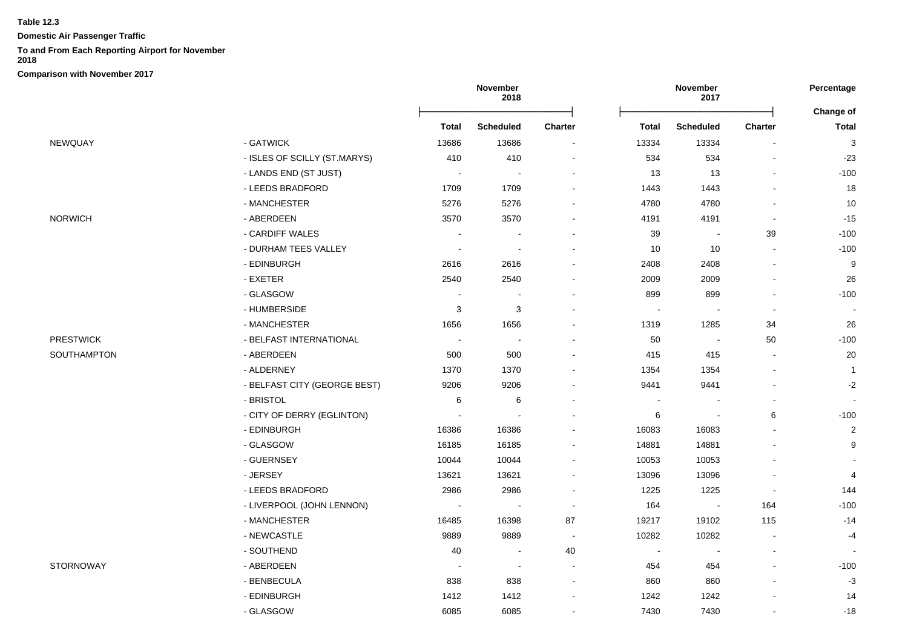**Domestic Air Passenger Traffic**

## **To and From Each Reporting Airport for November**

**2018**

|                  |                              | November<br>2018         |                  |         |                | November<br>2017         |                | Percentage                |
|------------------|------------------------------|--------------------------|------------------|---------|----------------|--------------------------|----------------|---------------------------|
|                  |                              | Total                    | <b>Scheduled</b> | Charter | Total          | <b>Scheduled</b>         | <b>Charter</b> | Change of<br><b>Total</b> |
| NEWQUAY          | - GATWICK                    | 13686                    | 13686            |         | 13334          | 13334                    |                | 3                         |
|                  | - ISLES OF SCILLY (ST.MARYS) | 410                      | 410              |         | 534            | 534                      |                | $-23$                     |
|                  | - LANDS END (ST JUST)        | $\overline{\phantom{a}}$ |                  |         | 13             | 13                       |                | $-100$                    |
|                  | - LEEDS BRADFORD             | 1709                     | 1709             |         | 1443           | 1443                     |                | 18                        |
|                  | - MANCHESTER                 | 5276                     | 5276             |         | 4780           | 4780                     |                | 10                        |
| <b>NORWICH</b>   | - ABERDEEN                   | 3570                     | 3570             |         | 4191           | 4191                     | $\blacksquare$ | $-15$                     |
|                  | - CARDIFF WALES              | $\sim$                   |                  |         | 39             | $\overline{\phantom{a}}$ | 39             | $-100$                    |
|                  | - DURHAM TEES VALLEY         |                          |                  |         | $10$           | $10$                     |                | $-100$                    |
|                  | - EDINBURGH                  | 2616                     | 2616             |         | 2408           | 2408                     |                | 9                         |
|                  | - EXETER                     | 2540                     | 2540             |         | 2009           | 2009                     |                | 26                        |
|                  | - GLASGOW                    |                          |                  |         | 899            | 899                      |                | $-100$                    |
|                  | - HUMBERSIDE                 | 3                        | 3                |         |                |                          |                |                           |
|                  | - MANCHESTER                 | 1656                     | 1656             |         | 1319           | 1285                     | 34             | 26                        |
| <b>PRESTWICK</b> | - BELFAST INTERNATIONAL      | $\sim$                   |                  |         | 50             | $\sim$                   | 50             | $-100$                    |
| SOUTHAMPTON      | - ABERDEEN                   | 500                      | 500              |         | 415            | 415                      | $\blacksquare$ | 20                        |
|                  | - ALDERNEY                   | 1370                     | 1370             |         | 1354           | 1354                     |                | $\mathbf{1}$              |
|                  | - BELFAST CITY (GEORGE BEST) | 9206                     | 9206             |         | 9441           | 9441                     |                | $-2$                      |
|                  | - BRISTOL                    | 6                        | 6                |         |                |                          |                |                           |
|                  | - CITY OF DERRY (EGLINTON)   |                          |                  |         | 6              |                          | 6              | $-100$                    |
|                  | - EDINBURGH                  | 16386                    | 16386            |         | 16083          | 16083                    |                | $\overline{2}$            |
|                  | - GLASGOW                    | 16185                    | 16185            |         | 14881          | 14881                    |                | 9                         |
|                  | - GUERNSEY                   | 10044                    | 10044            |         | 10053          | 10053                    |                |                           |
|                  | - JERSEY                     | 13621                    | 13621            |         | 13096          | 13096                    |                | 4                         |
|                  | - LEEDS BRADFORD             | 2986                     | 2986             |         | 1225           | 1225                     |                | 144                       |
|                  | - LIVERPOOL (JOHN LENNON)    |                          |                  |         | 164            |                          | 164            | $-100$                    |
|                  | - MANCHESTER                 | 16485                    | 16398            | 87      | 19217          | 19102                    | 115            | $-14$                     |
|                  | - NEWCASTLE                  | 9889                     | 9889             | $\sim$  | 10282          | 10282                    | $\blacksquare$ | $-4$                      |
|                  | - SOUTHEND                   | 40                       |                  | 40      | $\blacksquare$ | $\blacksquare$           | $\blacksquare$ |                           |
| STORNOWAY        | - ABERDEEN                   | $\sim$                   | $\blacksquare$   |         | 454            | 454                      | $\blacksquare$ | $-100$                    |
|                  | - BENBECULA                  | 838                      | 838              |         | 860            | 860                      |                | $-3$                      |
|                  | - EDINBURGH                  | 1412                     | 1412             |         | 1242           | 1242                     |                | 14                        |
|                  | - GLASGOW                    | 6085                     | 6085             |         | 7430           | 7430                     |                | $-18$                     |